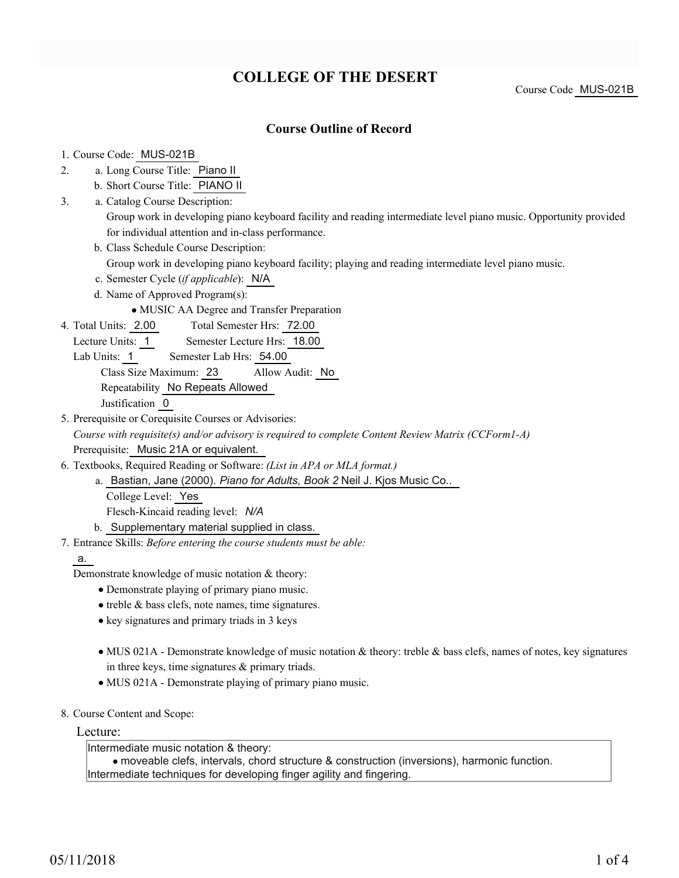# **COLLEGE OF THE DESERT**

## **Course Outline of Record**

#### 1. Course Code: MUS-021B

- a. Long Course Title: Piano II 2.
	- b. Short Course Title: PIANO II
- Catalog Course Description: a. 3.
	- Group work in developing piano keyboard facility and reading intermediate level piano music. Opportunity provided for individual attention and in-class performance.
	- b. Class Schedule Course Description:
		- Group work in developing piano keyboard facility; playing and reading intermediate level piano music.
	- c. Semester Cycle (*if applicable*): N/A
	- d. Name of Approved Program(s):

MUSIC AA Degree and Transfer Preparation

- Total Semester Hrs: 72.00 4. Total Units: 2.00
- Lecture Units: 1 Semester Lecture Hrs: 18.00
- Lab Units: 1 Semester Lab Hrs: 54.00
	- Class Size Maximum: 23 Allow Audit: No
	- Repeatability No Repeats Allowed

Justification 0

5. Prerequisite or Corequisite Courses or Advisories:

*Course with requisite(s) and/or advisory is required to complete Content Review Matrix (CCForm1-A)* Prerequisite: Music 21A or equivalent.

- Textbooks, Required Reading or Software: *(List in APA or MLA format.)* 6.
	- a. Bastian, Jane (2000). *Piano for Adults, Book 2* Neil J. Kjos Music Co.. College Level: Yes Flesch-Kincaid reading level: *N/A*
	- b. Supplementary material supplied in class.
- Entrance Skills: *Before entering the course students must be able:* 7.

#### a.

Demonstrate knowledge of music notation & theory:

- Demonstrate playing of primary piano music.
- treble & bass clefs, note names, time signatures.
- key signatures and primary triads in 3 keys
- MUS 021A Demonstrate knowledge of music notation & theory: treble & bass clefs, names of notes, key signatures in three keys, time signatures  $\&$  primary triads.
- MUS 021A Demonstrate playing of primary piano music.
- 8. Course Content and Scope:

#### Lecture:

Intermediate music notation & theory:

moveable clefs, intervals, chord structure & construction (inversions), harmonic function. Intermediate techniques for developing finger agility and fingering.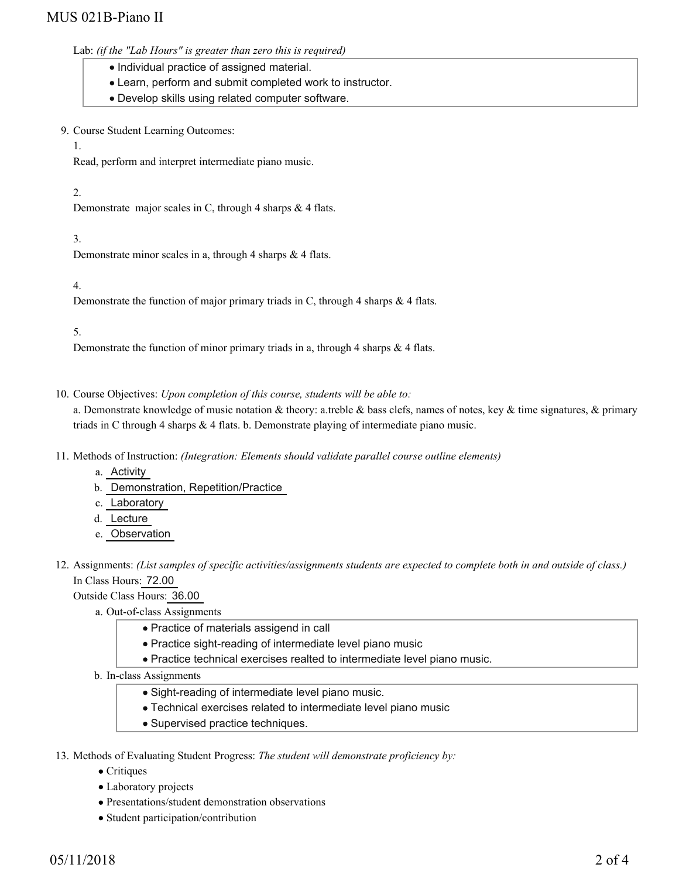## MUS 021B-Piano II

#### Lab: *(if the "Lab Hours" is greater than zero this is required)*

- Individual practice of assigned material.
- Learn, perform and submit completed work to instructor.
- Develop skills using related computer software.
- 9. Course Student Learning Outcomes:

#### 1.

Read, perform and interpret intermediate piano music.

## 2.

Demonstrate major scales in C, through 4 sharps & 4 flats.

## 3.

Demonstrate minor scales in a, through 4 sharps & 4 flats.

## 4.

Demonstrate the function of major primary triads in C, through 4 sharps & 4 flats.

## 5.

Demonstrate the function of minor primary triads in a, through 4 sharps & 4 flats.

10. Course Objectives: Upon completion of this course, students will be able to:

a. Demonstrate knowledge of music notation  $\&$  theory: a.treble  $\&$  bass clefs, names of notes, key  $\&$  time signatures,  $\&$  primary triads in C through 4 sharps & 4 flats. b. Demonstrate playing of intermediate piano music.

- 11. Methods of Instruction: *(Integration: Elements should validate parallel course outline elements)* 
	- a. Activity
	- b. Demonstration, Repetition/Practice
	- c. Laboratory
	- d. Lecture
	- e. Observation
- 12. Assignments: (List samples of specific activities/assignments students are expected to complete both in and outside of class.) In Class Hours: 72.00

Outside Class Hours: 36.00

- a. Out-of-class Assignments
	- Practice of materials assigend in call
	- Practice sight-reading of intermediate level piano music
	- Practice technical exercises realted to intermediate level piano music.
- b. In-class Assignments
	- Sight-reading of intermediate level piano music.
	- Technical exercises related to intermediate level piano music
	- Supervised practice techniques.
- 13. Methods of Evaluating Student Progress: The student will demonstrate proficiency by:
	- Critiques
	- Laboratory projects
	- Presentations/student demonstration observations
	- Student participation/contribution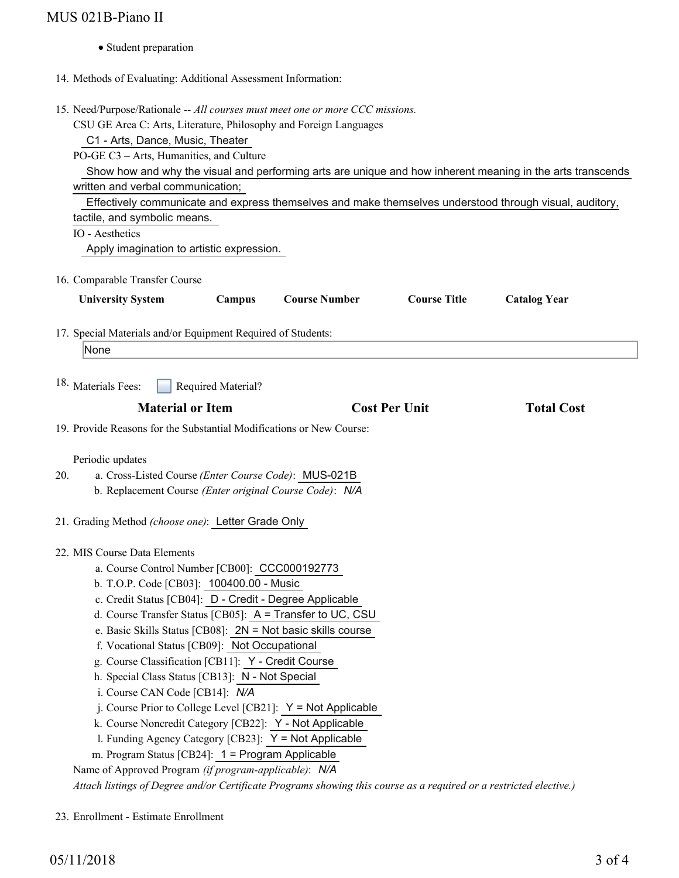# MUS 021B-Piano II

Student preparation

## 14. Methods of Evaluating: Additional Assessment Information:

15. Need/Purpose/Rationale -- All courses must meet one or more CCC missions.

|     | CSU GE Area C: Arts, Literature, Philosophy and Foreign Languages                                                  |
|-----|--------------------------------------------------------------------------------------------------------------------|
|     | C1 - Arts, Dance, Music, Theater                                                                                   |
|     | PO-GE C3 - Arts, Humanities, and Culture                                                                           |
|     | Show how and why the visual and performing arts are unique and how inherent meaning in the arts transcends         |
|     | written and verbal communication;                                                                                  |
|     | Effectively communicate and express themselves and make themselves understood through visual, auditory,            |
|     | tactile, and symbolic means.                                                                                       |
|     | IO - Aesthetics                                                                                                    |
|     | Apply imagination to artistic expression.                                                                          |
|     |                                                                                                                    |
|     | 16. Comparable Transfer Course                                                                                     |
|     | <b>Course Title</b><br><b>University System</b><br>Campus<br><b>Course Number</b><br><b>Catalog Year</b>           |
|     |                                                                                                                    |
|     | 17. Special Materials and/or Equipment Required of Students:                                                       |
|     | None                                                                                                               |
|     |                                                                                                                    |
|     | 18. Materials Fees:<br>Required Material?                                                                          |
|     |                                                                                                                    |
|     | <b>Material or Item</b><br><b>Cost Per Unit</b><br><b>Total Cost</b>                                               |
|     | 19. Provide Reasons for the Substantial Modifications or New Course:                                               |
|     |                                                                                                                    |
|     | Periodic updates                                                                                                   |
| 20. | a. Cross-Listed Course (Enter Course Code): MUS-021B                                                               |
|     | b. Replacement Course (Enter original Course Code): N/A                                                            |
|     |                                                                                                                    |
|     | 21. Grading Method (choose one): Letter Grade Only                                                                 |
|     |                                                                                                                    |
|     | 22. MIS Course Data Elements                                                                                       |
|     | a. Course Control Number [CB00]: CCC000192773                                                                      |
|     | b. T.O.P. Code [CB03]: 100400.00 - Music                                                                           |
|     | c. Credit Status [CB04]: D - Credit - Degree Applicable                                                            |
|     | d. Course Transfer Status [CB05]: A = Transfer to UC, CSU                                                          |
|     | e. Basic Skills Status [CB08]: 2N = Not basic skills course                                                        |
|     | f. Vocational Status [CB09]: Not Occupational                                                                      |
|     | g. Course Classification [CB11]: Y - Credit Course                                                                 |
|     | h. Special Class Status [CB13]: N - Not Special                                                                    |
|     | i. Course CAN Code [CB14]: N/A                                                                                     |
|     | j. Course Prior to College Level [CB21]: $Y = Not$ Applicable                                                      |
|     | k. Course Noncredit Category [CB22]: Y - Not Applicable                                                            |
|     | 1. Funding Agency Category [CB23]: Y = Not Applicable                                                              |
|     | m. Program Status [CB24]: 1 = Program Applicable                                                                   |
|     | Name of Approved Program (if program-applicable): N/A                                                              |
|     | Attach listings of Degree and/or Certificate Programs showing this course as a required or a restricted elective.) |

23. Enrollment - Estimate Enrollment